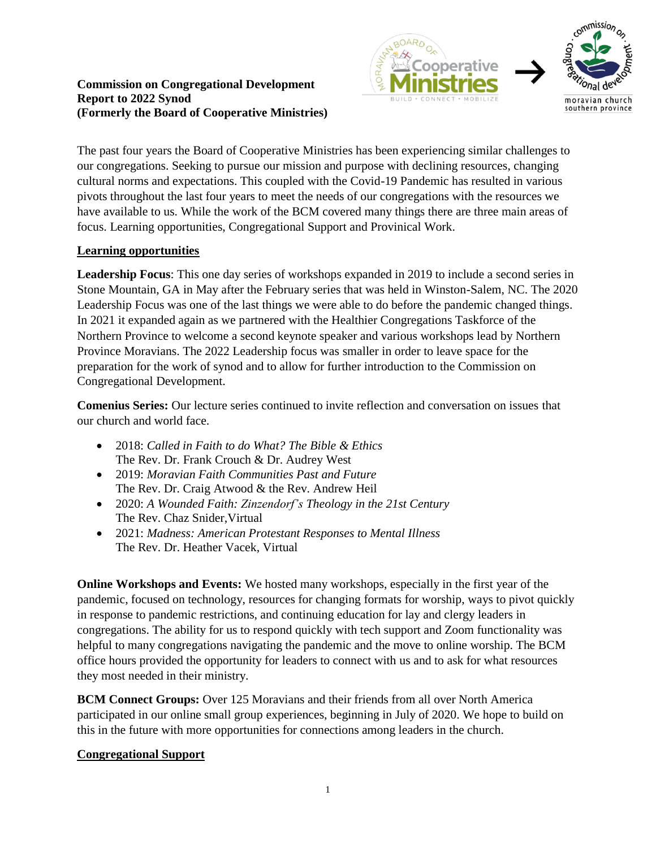#### **Commission on Congregational Development Report to 2022 Synod (Formerly the Board of Cooperative Ministries)**



The past four years the Board of Cooperative Ministries has been experiencing similar challenges to our congregations. Seeking to pursue our mission and purpose with declining resources, changing cultural norms and expectations. This coupled with the Covid-19 Pandemic has resulted in various pivots throughout the last four years to meet the needs of our congregations with the resources we have available to us. While the work of the BCM covered many things there are three main areas of focus. Learning opportunities, Congregational Support and Provinical Work.

# **Learning opportunities**

**Leadership Focus**: This one day series of workshops expanded in 2019 to include a second series in Stone Mountain, GA in May after the February series that was held in Winston-Salem, NC. The 2020 Leadership Focus was one of the last things we were able to do before the pandemic changed things. In 2021 it expanded again as we partnered with the Healthier Congregations Taskforce of the Northern Province to welcome a second keynote speaker and various workshops lead by Northern Province Moravians. The 2022 Leadership focus was smaller in order to leave space for the preparation for the work of synod and to allow for further introduction to the Commission on Congregational Development.

**Comenius Series:** Our lecture series continued to invite reflection and conversation on issues that our church and world face.

- 2018: *[Called](https://www.youtube.com/playlist?list=PLRSNUTFolSrKQma9jd-k1MxmG4ie8TbH2) in Faith to do What? The Bible & Ethics* The Rev. Dr. Frank Crouch & Dr. Audrey West
- 2019: *Moravian Faith [Communities](https://www.youtube.com/playlist?list=PLRSNUTFolSrKo1-5iK-DkFHX_yqtLyj3u) Past and Future* The Rev. Dr. Craig Atwood & the Rev. Andrew Heil
- 2020: *A Wounded Faith: [Zinzendorf's](https://www.youtube.com/playlist?list=PLRSNUTFolSrI6GOHfezpX6i_vhtTZr0AH) Theology in the 21st Century* The Rev. Chaz Snider,Virtual
- 2021: *Madness: American Protestant Responses to Mental Illness* The Rev. Dr. Heather Vacek, Virtual

**Online Workshops and Events:** We hosted many workshops, especially in the first year of the pandemic, focused on technology, resources for changing formats for worship, ways to pivot quickly in response to pandemic restrictions, and continuing education for lay and clergy leaders in congregations. The ability for us to respond quickly with tech support and Zoom functionality was helpful to many congregations navigating the pandemic and the move to online worship. The BCM office hours provided the opportunity for leaders to connect with us and to ask for what resources they most needed in their ministry.

**BCM Connect Groups:** Over 125 Moravians and their friends from all over North America participated in our online small group experiences, beginning in July of 2020. We hope to build on this in the future with more opportunities for connections among leaders in the church.

## **Congregational Support**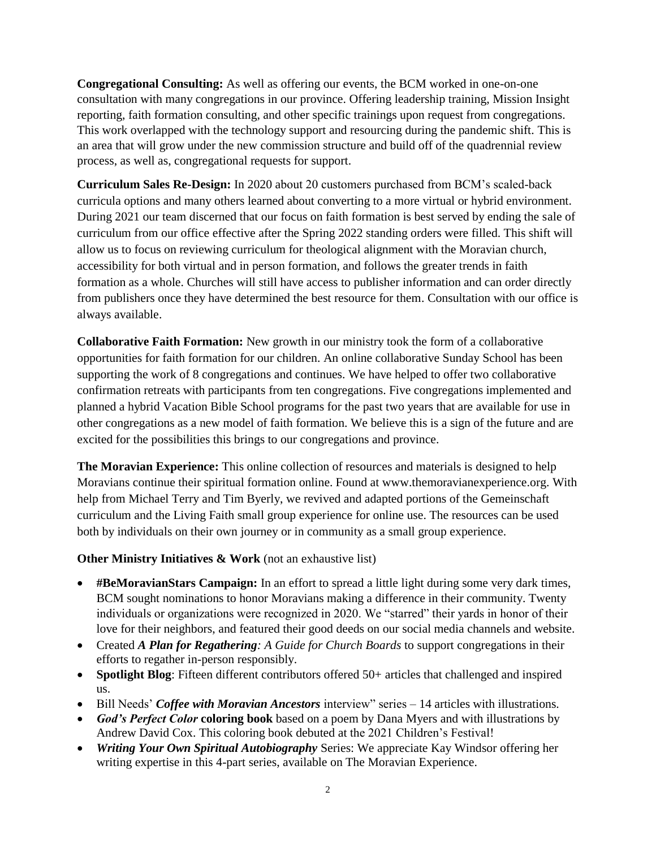**Congregational Consulting:** As well as offering our events, the BCM worked in one-on-one consultation with many congregations in our province. Offering leadership training, Mission Insight reporting, faith formation consulting, and other specific trainings upon request from congregations. This work overlapped with the technology support and resourcing during the pandemic shift. This is an area that will grow under the new commission structure and build off of the quadrennial review process, as well as, congregational requests for support.

**Curriculum Sales Re-Design:** In 2020 about 20 customers purchased from BCM's scaled-back curricula options and many others learned about converting to a more virtual or hybrid environment. During 2021 our team discerned that our focus on faith formation is best served by ending the sale of curriculum from our office effective after the Spring 2022 standing orders were filled. This shift will allow us to focus on reviewing curriculum for theological alignment with the Moravian church, accessibility for both virtual and in person formation, and follows the greater trends in faith formation as a whole. Churches will still have access to publisher information and can order directly from publishers once they have determined the best resource for them. Consultation with our office is always available.

**Collaborative Faith Formation:** New growth in our ministry took the form of a collaborative opportunities for faith formation for our children. An online collaborative Sunday School has been supporting the work of 8 congregations and continues. We have helped to offer two collaborative confirmation retreats with participants from ten congregations. Five congregations implemented and planned a hybrid Vacation Bible School programs for the past two years that are available for use in other congregations as a new model of faith formation. We believe this is a sign of the future and are excited for the possibilities this brings to our congregations and province.

**The Moravian Experience:** This online collection of resources and materials is designed to help Moravians continue their spiritual formation online. Found at www.themoravianexperience.org. With help from Michael Terry and Tim Byerly, we revived and adapted portions of the Gemeinschaft curriculum and the Living Faith small group experience for online use. The resources can be used both by individuals on their own journey or in community as a small group experience.

## **Other Ministry Initiatives & Work** (not an exhaustive list)

- **#BeMoravianStars Campaign:** In an effort to spread a little light during some very dark times, BCM sought nominations to honor Moravians making a difference in their community. Twenty individuals or organizations were recognized in 2020. We "starred" their yards in honor of their love for their neighbors, and featured their good deeds on our social media channels and website.
- Created *A Plan for Regathering: A Guide for Church Boards* to support congregations in their efforts to regather in-person responsibly.
- **Spotlight Blog**: Fifteen different contributors offered 50+ articles that challenged and inspired us.
- Bill Needs' *Coffee with Moravian Ancestors* interview" series 14 articles with illustrations.
- *God's Perfect Color* **coloring book** based on a poem by Dana Myers and with illustrations by Andrew David Cox. This coloring book debuted at the 2021 Children's Festival!
- *Writing Your Own Spiritual Autobiography* Series: We appreciate Kay Windsor offering her writing expertise in this 4-part series, available on The Moravian Experience.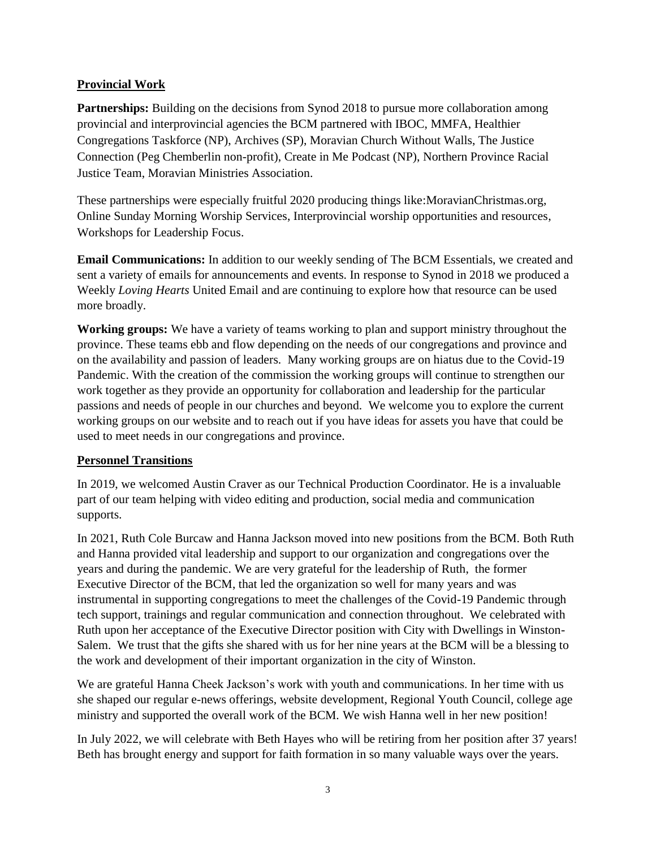#### **Provincial Work**

Partnerships: Building on the decisions from Synod 2018 to pursue more collaboration among provincial and interprovincial agencies the BCM partnered with IBOC, MMFA, Healthier Congregations Taskforce (NP), Archives (SP), Moravian Church Without Walls, The Justice Connection (Peg Chemberlin non-profit), Create in Me Podcast (NP), Northern Province Racial Justice Team, Moravian Ministries Association.

These partnerships were especially fruitful 2020 producing things like:MoravianChristmas.org, Online Sunday Morning Worship Services, Interprovincial worship opportunities and resources, Workshops for Leadership Focus.

**Email Communications:** In addition to our weekly sending of The BCM Essentials, we created and sent a variety of emails for announcements and events. In response to Synod in 2018 we produced a Weekly *Loving Hearts* United Email and are continuing to explore how that resource can be used more broadly.

**Working groups:** We have a variety of teams working to plan and support ministry throughout the province. These teams ebb and flow depending on the needs of our congregations and province and on the availability and passion of leaders. Many working groups are on hiatus due to the Covid-19 Pandemic. With the creation of the commission the working groups will continue to strengthen our work together as they provide an opportunity for collaboration and leadership for the particular passions and needs of people in our churches and beyond. We welcome you to explore the current working groups on our website and to reach out if you have ideas for assets you have that could be used to meet needs in our congregations and province.

## **Personnel Transitions**

In 2019, we welcomed Austin Craver as our Technical Production Coordinator. He is a invaluable part of our team helping with video editing and production, social media and communication supports.

In 2021, Ruth Cole Burcaw and Hanna Jackson moved into new positions from the BCM. Both Ruth and Hanna provided vital leadership and support to our organization and congregations over the years and during the pandemic. We are very grateful for the leadership of Ruth, the former Executive Director of the BCM, that led the organization so well for many years and was instrumental in supporting congregations to meet the challenges of the Covid-19 Pandemic through tech support, trainings and regular communication and connection throughout. We celebrated with Ruth upon her acceptance of the Executive Director position with City with Dwellings in Winston-Salem. We trust that the gifts she shared with us for her nine years at the BCM will be a blessing to the work and development of their important organization in the city of Winston.

We are grateful Hanna Cheek Jackson's work with youth and communications. In her time with us she shaped our regular e-news offerings, website development, Regional Youth Council, college age ministry and supported the overall work of the BCM. We wish Hanna well in her new position!

In July 2022, we will celebrate with Beth Hayes who will be retiring from her position after 37 years! Beth has brought energy and support for faith formation in so many valuable ways over the years.